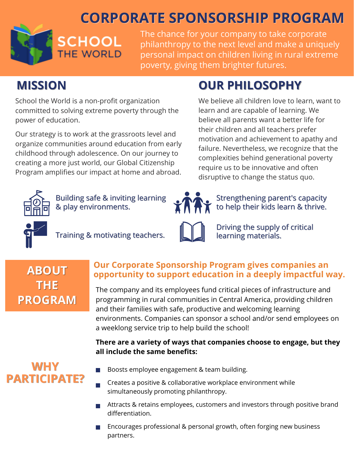# **CORPORATE SPONSORSHIP PROGRAM**



The chance for your company to take corporate philanthropy to the next level and make a uniquely personal impact on children living in rural extreme poverty, giving them brighter futures.

# **MISSION**

School the World is a non-profit organization committed to solving extreme poverty through the power of education.

Our strategy is to work at the grassroots level and organize communities around education from early childhood through adolescence. On our journey to creating a more just world, our Global Citizenship Program amplifies our impact at home and abroad.

# **OUR PHILOSOPHY**

We believe all children love to learn, want to learn and are capable of learning. We believe all parents want a better life for their children and all teachers prefer motivation and achievement to apathy and failure. Nevertheless, we recognize that the complexities behind generational poverty require us to be innovative and often disruptive to change the status quo.



Building safe & inviting learning & play environments.

Training & motivating teachers.

Strengthening parent's capacity to help their kids learn & thrive.



Driving the supply of critical learning materials.

## **ABOUT THE PROGRAM**

### **Our Corporate Sponsorship Program gives companies an opportunity to support education in a deeply impactful way.**

The company and its employees fund critical pieces of infrastructure and programming in rural communities in Central America, providing children and their families with safe, productive and welcoming learning environments. Companies can sponsor a school and/or send employees on a weeklong service trip to help build the school!

#### **There are a variety of ways that companies choose to engage, but they all include the same benefits:**

## **WHY PARTICIPATE?**

- Boosts employee engagement & team building. П
- Creates a positive & collaborative workplace environment while simultaneously promoting philanthropy.
- Attracts & retains employees, customers and investors through positive brand differentiation.
- Encourages professional & personal growth, often forging new business partners.